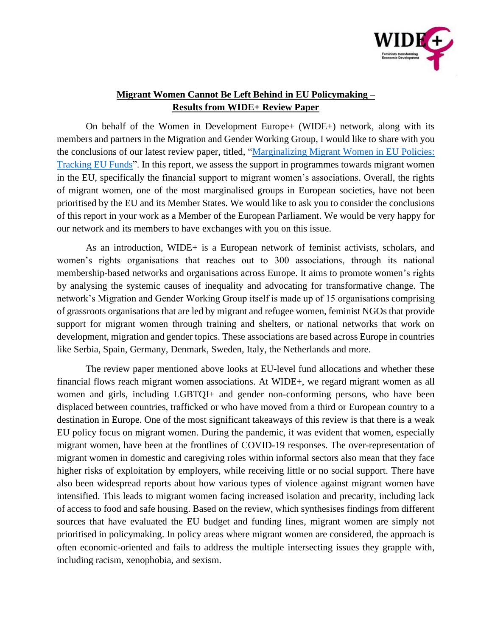

## **Migrant Women Cannot Be Left Behind in EU Policymaking – Results from WIDE+ Review Paper**

On behalf of the Women in Development Europe+ (WIDE+) network, along with its members and partners in the Migration and Gender Working Group, I would like to share with you the conclusions of our latest review paper, titled, ["Marginalizing Migrant Women in EU Policies:](https://wideplus.org/wp-content/uploads/2022/05/Marginalizing-Migrant-Womens-Associations-in-EU-Policies-Tracking-EU-Funds.pdf)  [Tracking EU Funds"](https://wideplus.org/wp-content/uploads/2022/05/Marginalizing-Migrant-Womens-Associations-in-EU-Policies-Tracking-EU-Funds.pdf). In this report, we assess the support in programmes towards migrant women in the EU, specifically the financial support to migrant women's associations. Overall, the rights of migrant women, one of the most marginalised groups in European societies, have not been prioritised by the EU and its Member States. We would like to ask you to consider the conclusions of this report in your work as a Member of the European Parliament. We would be very happy for our network and its members to have exchanges with you on this issue.

As an introduction, WIDE+ is a European network of feminist activists, scholars, and women's rights organisations that reaches out to 300 associations, through its national membership-based networks and organisations across Europe. It aims to promote women's rights by analysing the systemic causes of inequality and advocating for transformative change. The network's Migration and Gender Working Group itself is made up of 15 organisations comprising of grassroots organisations that are led by migrant and refugee women, feminist NGOs that provide support for migrant women through training and shelters, or national networks that work on development, migration and gender topics. These associations are based across Europe in countries like Serbia, Spain, Germany, Denmark, Sweden, Italy, the Netherlands and more.

The review paper mentioned above looks at EU-level fund allocations and whether these financial flows reach migrant women associations. At WIDE+, we regard migrant women as all women and girls, including LGBTQI+ and gender non-conforming persons, who have been displaced between countries, trafficked or who have moved from a third or European country to a destination in Europe. One of the most significant takeaways of this review is that there is a weak EU policy focus on migrant women. During the pandemic, it was evident that women, especially migrant women, have been at the frontlines of COVID-19 responses. The over-representation of migrant women in domestic and caregiving roles within informal sectors also mean that they face higher risks of exploitation by employers, while receiving little or no social support. There have also been widespread reports about how various types of violence against migrant women have intensified. This leads to migrant women facing increased isolation and precarity, including lack of access to food and safe housing. Based on the review, which synthesises findings from different sources that have evaluated the EU budget and funding lines, migrant women are simply not prioritised in policymaking. In policy areas where migrant women are considered, the approach is often economic-oriented and fails to address the multiple intersecting issues they grapple with, including racism, xenophobia, and sexism.